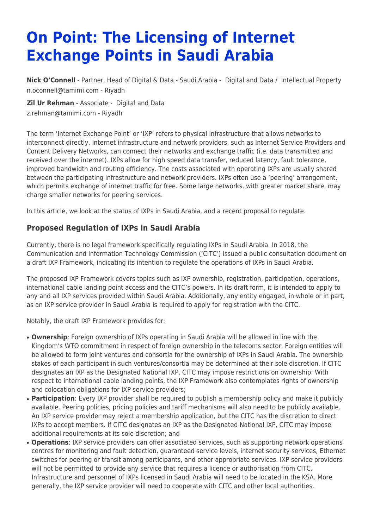# **On Point: The Licensing of Internet Exchange Points in Saudi Arabia**

**[Nick O'Connell](https://www.tamimi.com/find-a-lawyer/nick-oconnell/)** - Partner, Head of Digital & Data - Saudi Arabia - [Digital and Data](https://www.tamimi.com/client-services/practices/digital-data/) / [Intellectual Property](https://www.tamimi.com/client-services/practices/intellectual-property/) [n.oconnell@tamimi.com](mailto:n.oconnell@tamimi.com) - [Riyadh](https://www.tamimi.com/locations/saudi-arabia/)

**[Zil Ur Rehman](https://www.tamimi.com/find-a-lawyer/zil-ur-rehman/)** - Associate - [Digital and Data](https://www.tamimi.com/client-services/practices/digital-data/) [z.rehman@tamimi.com](mailto:z.rehman@tamimi.com) - [Riyadh](https://www.tamimi.com/locations/saudi-arabia/)

The term 'Internet Exchange Point' or 'IXP' refers to physical infrastructure that allows networks to interconnect directly. Internet infrastructure and network providers, such as Internet Service Providers and Content Delivery Networks, can connect their networks and exchange traffic (i.e. data transmitted and received over the internet). IXPs allow for high speed data transfer, reduced latency, fault tolerance, improved bandwidth and routing efficiency. The costs associated with operating IXPs are usually shared between the participating infrastructure and network providers. IXPs often use a 'peering' arrangement, which permits exchange of internet traffic for free. Some large networks, with greater market share, may charge smaller networks for peering services.

In this article, we look at the status of IXPs in Saudi Arabia, and a recent proposal to regulate.

## **Proposed Regulation of IXPs in Saudi Arabia**

Currently, there is no legal framework specifically regulating IXPs in Saudi Arabia. In 2018, the Communication and Information Technology Commission ('CITC') issued a public consultation document on a draft IXP Framework, indicating its intention to regulate the operations of IXPs in Saudi Arabia.

The proposed IXP Framework covers topics such as IXP ownership, registration, participation, operations, international cable landing point access and the CITC's powers. In its draft form, it is intended to apply to any and all IXP services provided within Saudi Arabia. Additionally, any entity engaged, in whole or in part, as an IXP service provider in Saudi Arabia is required to apply for registration with the CITC.

Notably, the draft IXP Framework provides for:

- **Ownership**: Foreign ownership of IXPs operating in Saudi Arabia will be allowed in line with the Kingdom's WTO commitment in respect of foreign ownership in the telecoms sector. Foreign entities will be allowed to form joint ventures and consortia for the ownership of IXPs in Saudi Arabia. The ownership stakes of each participant in such ventures/consortia may be determined at their sole discretion. If CITC designates an IXP as the Designated National IXP, CITC may impose restrictions on ownership. With respect to international cable landing points, the IXP Framework also contemplates rights of ownership and colocation obligations for IXP service providers;
- **Participation**: Every IXP provider shall be required to publish a membership policy and make it publicly available. Peering policies, pricing policies and tariff mechanisms will also need to be publicly available. An IXP service provider may reject a membership application, but the CITC has the discretion to direct IXPs to accept members. If CITC designates an IXP as the Designated National IXP, CITC may impose additional requirements at its sole discretion; and
- **Operations**: IXP service providers can offer associated services, such as supporting network operations centres for monitoring and fault detection, guaranteed service levels, internet security services, Ethernet switches for peering or transit among participants, and other appropriate services. IXP service providers will not be permitted to provide any service that requires a licence or authorisation from CITC. Infrastructure and personnel of IXPs licensed in Saudi Arabia will need to be located in the KSA. More generally, the IXP service provider will need to cooperate with CITC and other local authorities.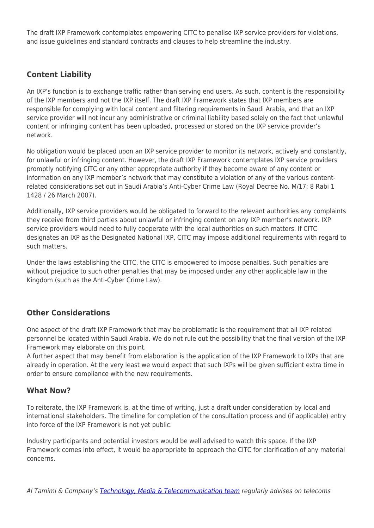The draft IXP Framework contemplates empowering CITC to penalise IXP service providers for violations, and issue guidelines and standard contracts and clauses to help streamline the industry.

## **Content Liability**

An IXP's function is to exchange traffic rather than serving end users. As such, content is the responsibility of the IXP members and not the IXP itself. The draft IXP Framework states that IXP members are responsible for complying with local content and filtering requirements in Saudi Arabia, and that an IXP service provider will not incur any administrative or criminal liability based solely on the fact that unlawful content or infringing content has been uploaded, processed or stored on the IXP service provider's network.

No obligation would be placed upon an IXP service provider to monitor its network, actively and constantly, for unlawful or infringing content. However, the draft IXP Framework contemplates IXP service providers promptly notifying CITC or any other appropriate authority if they become aware of any content or information on any IXP member's network that may constitute a violation of any of the various contentrelated considerations set out in Saudi Arabia's Anti-Cyber Crime Law (Royal Decree No. M/17; 8 Rabi 1 1428 / 26 March 2007).

Additionally, IXP service providers would be obligated to forward to the relevant authorities any complaints they receive from third parties about unlawful or infringing content on any IXP member's network. IXP service providers would need to fully cooperate with the local authorities on such matters. If CITC designates an IXP as the Designated National IXP, CITC may impose additional requirements with regard to such matters.

Under the laws establishing the CITC, the CITC is empowered to impose penalties. Such penalties are without prejudice to such other penalties that may be imposed under any other applicable law in the Kingdom (such as the Anti-Cyber Crime Law).

#### **Other Considerations**

One aspect of the draft IXP Framework that may be problematic is the requirement that all IXP related personnel be located within Saudi Arabia. We do not rule out the possibility that the final version of the IXP Framework may elaborate on this point.

A further aspect that may benefit from elaboration is the application of the IXP Framework to IXPs that are already in operation. At the very least we would expect that such IXPs will be given sufficient extra time in order to ensure compliance with the new requirements.

#### **What Now?**

To reiterate, the IXP Framework is, at the time of writing, just a draft under consideration by local and international stakeholders. The timeline for completion of the consultation process and (if applicable) entry into force of the IXP Framework is not yet public.

Industry participants and potential investors would be well advised to watch this space. If the IXP Framework comes into effect, it would be appropriate to approach the CITC for clarification of any material concerns.